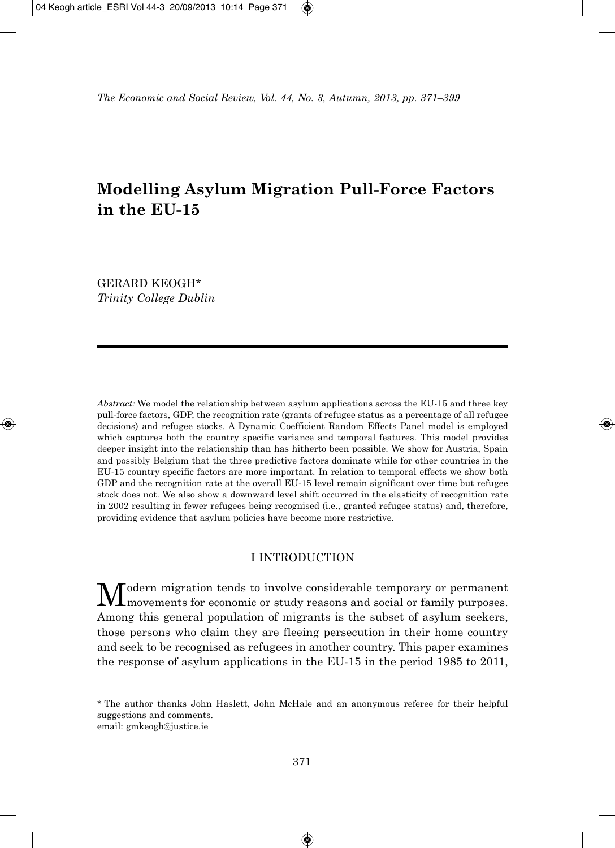# **Modelling Asylum Migration Pull-Force Factors in the EU-15**

GERARD KEOGH\* *Trinity College Dublin*

*Abstract:* We model the relationship between asylum applications across the EU-15 and three key pull-force factors, GDP, the recognition rate (grants of refugee status as a percentage of all refugee decisions) and refugee stocks. A Dynamic Coefficient Random Effects Panel model is employed which captures both the country specific variance and temporal features. This model provides deeper insight into the relationship than has hitherto been possible. We show for Austria, Spain and possibly Belgium that the three predictive factors dominate while for other countries in the EU-15 country specific factors are more important. In relation to temporal effects we show both GDP and the recognition rate at the overall EU-15 level remain significant over time but refugee stock does not. We also show a downward level shift occurred in the elasticity of recognition rate in 2002 resulting in fewer refugees being recognised (i.e., granted refugee status) and, therefore, providing evidence that asylum policies have become more restrictive.

### I INTRODUCTION

 $\mathbf M$ odern migration tends to involve considerable temporary or permanent movements for economic or study reasons and social or family purposes. Among this general population of migrants is the subset of asylum seekers, those persons who claim they are fleeing persecution in their home country and seek to be recognised as refugees in another country. This paper examines the response of asylum applications in the EU-15 in the period 1985 to 2011,

<sup>\*</sup> The author thanks John Haslett, John McHale and an anonymous referee for their helpful suggestions and comments. email: gmkeogh@justice.ie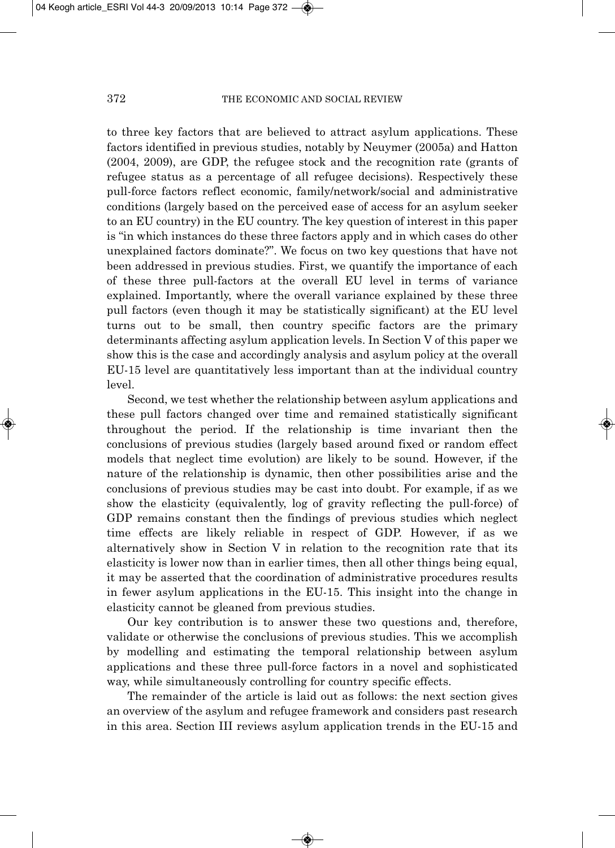to three key factors that are believed to attract asylum applications. These factors identified in previous studies, notably by Neuymer (2005a) and Hatton (2004, 2009), are GDP, the refugee stock and the recognition rate (grants of refugee status as a percentage of all refugee decisions). Respectively these pull-force factors reflect economic, family/network/social and administrative conditions (largely based on the perceived ease of access for an asylum seeker to an EU country) in the EU country. The key question of interest in this paper is "in which instances do these three factors apply and in which cases do other unexplained factors dominate?". We focus on two key questions that have not been addressed in previous studies. First, we quantify the importance of each of these three pull-factors at the overall EU level in terms of variance explained. Importantly, where the overall variance explained by these three pull factors (even though it may be statistically significant) at the EU level turns out to be small, then country specific factors are the primary determinants affecting asylum application levels. In Section V of this paper we show this is the case and accordingly analysis and asylum policy at the overall EU-15 level are quantitatively less important than at the individual country level.

Second, we test whether the relationship between asylum applications and these pull factors changed over time and remained statistically significant throughout the period. If the relationship is time invariant then the conclusions of previous studies (largely based around fixed or random effect models that neglect time evolution) are likely to be sound. However, if the nature of the relationship is dynamic, then other possibilities arise and the conclusions of previous studies may be cast into doubt. For example, if as we show the elasticity (equivalently, log of gravity reflecting the pull-force) of GDP remains constant then the findings of previous studies which neglect time effects are likely reliable in respect of GDP. However, if as we alternatively show in Section V in relation to the recognition rate that its elasticity is lower now than in earlier times, then all other things being equal, it may be asserted that the coordination of administrative procedures results in fewer asylum applications in the EU-15. This insight into the change in elasticity cannot be gleaned from previous studies.

Our key contribution is to answer these two questions and, therefore, validate or otherwise the conclusions of previous studies. This we accomplish by modelling and estimating the temporal relationship between asylum applications and these three pull-force factors in a novel and sophisticated way, while simultaneously controlling for country specific effects.

The remainder of the article is laid out as follows: the next section gives an overview of the asylum and refugee framework and considers past research in this area. Section III reviews asylum application trends in the EU-15 and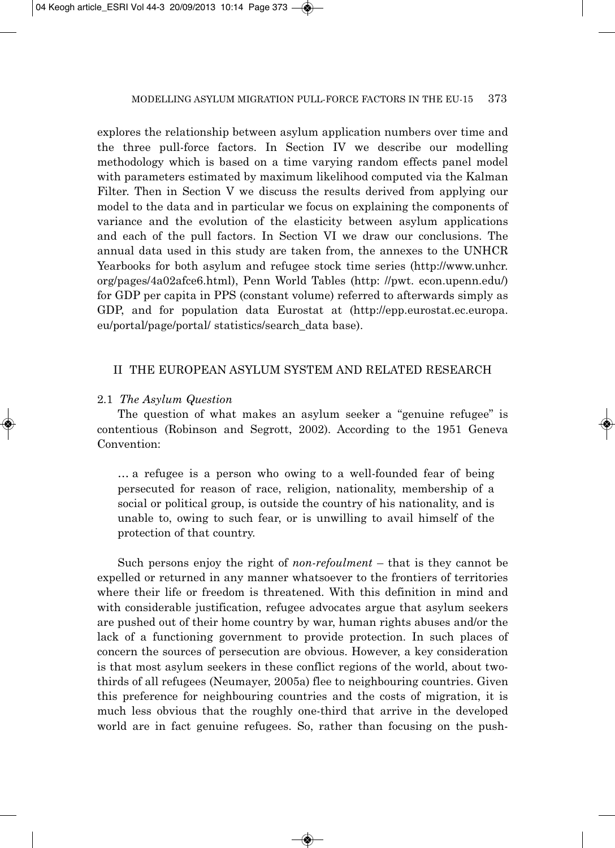explores the relationship between asylum application numbers over time and the three pull-force factors. In Section IV we describe our modelling methodology which is based on a time varying random effects panel model with parameters estimated by maximum likelihood computed via the Kalman Filter. Then in Section V we discuss the results derived from applying our model to the data and in particular we focus on explaining the components of variance and the evolution of the elasticity between asylum applications and each of the pull factors. In Section VI we draw our conclusions. The annual data used in this study are taken from, the annexes to the UNHCR Yearbooks for both asylum and refugee stock time series (http://www.unhcr. org/pages/4a02afce6.html), Penn World Tables (http: //pwt. econ.upenn.edu/) for GDP per capita in PPS (constant volume) referred to afterwards simply as GDP, and for population data Eurostat at (http://epp.eurostat.ec.europa. eu/portal/page/portal/ statistics/search\_data base).

### II THE EUROPEAN ASYLUM SYSTEM AND RELATED RESEARCH

### 2.1 *The Asylum Question*

The question of what makes an asylum seeker a "genuine refugee" is contentious (Robinson and Segrott, 2002). According to the 1951 Geneva Convention:

… a refugee is a person who owing to a well-founded fear of being persecuted for reason of race, religion, nationality, membership of a social or political group, is outside the country of his nationality, and is unable to, owing to such fear, or is unwilling to avail himself of the protection of that country.

Such persons enjoy the right of *non-refoulment* – that is they cannot be expelled or returned in any manner whatsoever to the frontiers of territories where their life or freedom is threatened. With this definition in mind and with considerable justification, refugee advocates argue that asylum seekers are pushed out of their home country by war, human rights abuses and/or the lack of a functioning government to provide protection. In such places of concern the sources of persecution are obvious. However, a key consideration is that most asylum seekers in these conflict regions of the world, about twothirds of all refugees (Neumayer, 2005a) flee to neighbouring countries. Given this preference for neighbouring countries and the costs of migration, it is much less obvious that the roughly one-third that arrive in the developed world are in fact genuine refugees. So, rather than focusing on the push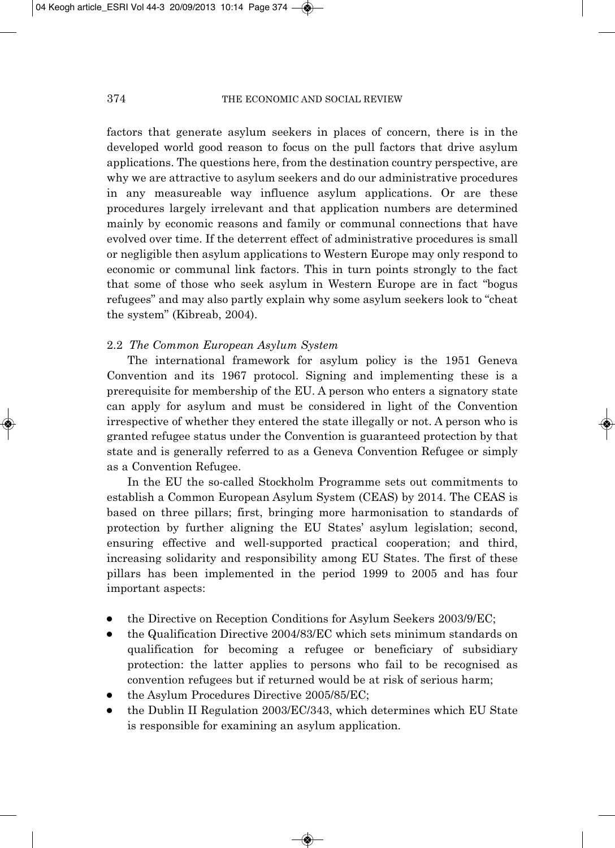factors that generate asylum seekers in places of concern, there is in the developed world good reason to focus on the pull factors that drive asylum applications. The questions here, from the destination country perspective, are why we are attractive to asylum seekers and do our administrative procedures in any measureable way influence asylum applications. Or are these procedures largely irrelevant and that application numbers are determined mainly by economic reasons and family or communal connections that have evolved over time. If the deterrent effect of administrative procedures is small or negligible then asylum applications to Western Europe may only respond to economic or communal link factors. This in turn points strongly to the fact that some of those who seek asylum in Western Europe are in fact "bogus refugees" and may also partly explain why some asylum seekers look to "cheat the system" (Kibreab, 2004).

### 2.2 *The Common European Asylum System*

The international framework for asylum policy is the 1951 Geneva Convention and its 1967 protocol. Signing and implementing these is a prerequisite for membership of the EU. A person who enters a signatory state can apply for asylum and must be considered in light of the Convention irrespective of whether they entered the state illegally or not. A person who is granted refugee status under the Convention is guaranteed protection by that state and is generally referred to as a Geneva Convention Refugee or simply as a Convention Refugee.

In the EU the so-called Stockholm Programme sets out commitments to establish a Common European Asylum System (CEAS) by 2014. The CEAS is based on three pillars; first, bringing more harmonisation to standards of protection by further aligning the EU States' asylum legislation; second, ensuring effective and well-supported practical cooperation; and third, increasing solidarity and responsibility among EU States. The first of these pillars has been implemented in the period 1999 to 2005 and has four important aspects:

- the Directive on Reception Conditions for Asylum Seekers 2003/9/EC;
- the Qualification Directive 2004/83/EC which sets minimum standards on qualification for becoming a refugee or beneficiary of subsidiary protection: the latter applies to persons who fail to be recognised as convention refugees but if returned would be at risk of serious harm;
- the Asylum Procedures Directive 2005/85/EC;
- the Dublin II Regulation 2003/EC/343, which determines which EU State is responsible for examining an asylum application.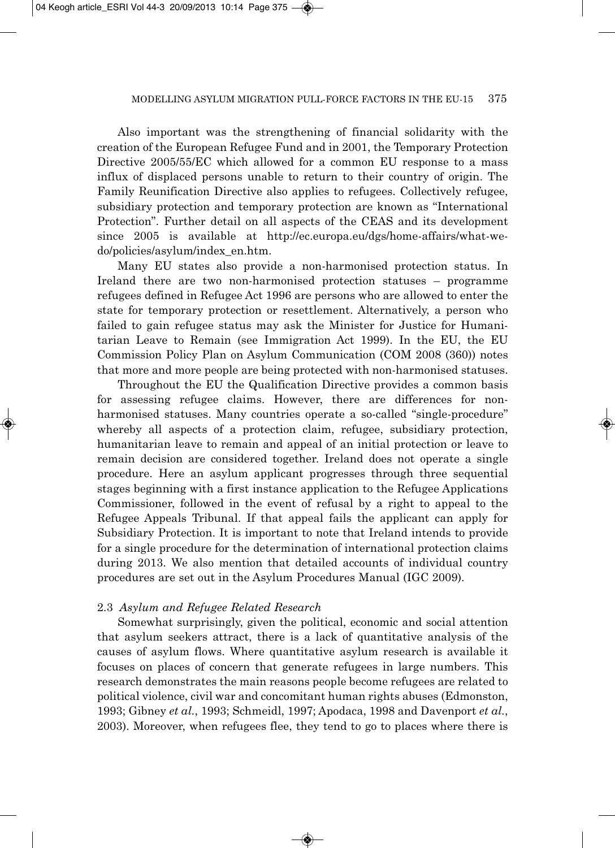Also important was the strengthening of financial solidarity with the creation of the European Refugee Fund and in 2001, the Temporary Protection Directive 2005/55/EC which allowed for a common EU response to a mass influx of displaced persons unable to return to their country of origin. The Family Reunification Directive also applies to refugees. Collectively refugee, subsidiary protection and temporary protection are known as "International Protection". Further detail on all aspects of the CEAS and its development since 2005 is available at http://ec.europa.eu/dgs/home-affairs/what-wedo/policies/asylum/index\_en.htm.

Many EU states also provide a non-harmonised protection status. In Ireland there are two non-harmonised protection statuses – programme refugees defined in Refugee Act 1996 are persons who are allowed to enter the state for temporary protection or resettlement. Alternatively, a person who failed to gain refugee status may ask the Minister for Justice for Humanitarian Leave to Remain (see Immigration Act 1999). In the EU, the EU Commission Policy Plan on Asylum Communication (COM 2008 (360)) notes that more and more people are being protected with non-harmonised statuses.

Throughout the EU the Qualification Directive provides a common basis for assessing refugee claims. However, there are differences for nonharmonised statuses. Many countries operate a so-called "single-procedure" whereby all aspects of a protection claim, refugee, subsidiary protection, humanitarian leave to remain and appeal of an initial protection or leave to remain decision are considered together. Ireland does not operate a single procedure. Here an asylum applicant progresses through three sequential stages beginning with a first instance application to the Refugee Applications Commissioner, followed in the event of refusal by a right to appeal to the Refugee Appeals Tribunal. If that appeal fails the applicant can apply for Subsidiary Protection. It is important to note that Ireland intends to provide for a single procedure for the determination of international protection claims during 2013. We also mention that detailed accounts of individual country procedures are set out in the Asylum Procedures Manual (IGC 2009).

### 2.3 *Asylum and Refugee Related Research*

Somewhat surprisingly, given the political, economic and social attention that asylum seekers attract, there is a lack of quantitative analysis of the causes of asylum flows. Where quantitative asylum research is available it focuses on places of concern that generate refugees in large numbers. This research demonstrates the main reasons people become refugees are related to political violence, civil war and concomitant human rights abuses (Edmonston, 1993; Gibney *et al.*, 1993; Schmeidl, 1997; Apodaca, 1998 and Davenport *et al.*, 2003). Moreover, when refugees flee, they tend to go to places where there is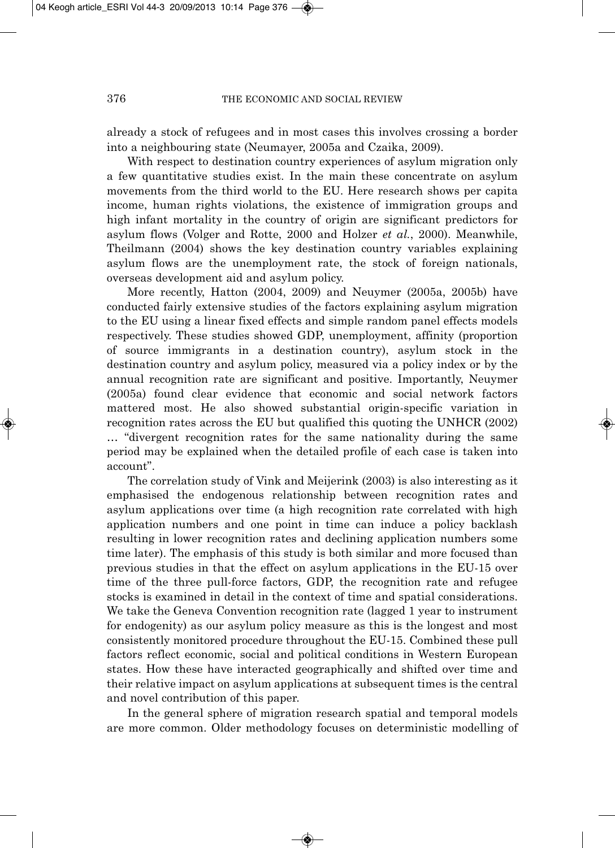already a stock of refugees and in most cases this involves crossing a border into a neighbouring state (Neumayer, 2005a and Czaika, 2009).

With respect to destination country experiences of asylum migration only a few quantitative studies exist. In the main these concentrate on asylum movements from the third world to the EU. Here research shows per capita income, human rights violations, the existence of immigration groups and high infant mortality in the country of origin are significant predictors for asylum flows (Volger and Rotte, 2000 and Holzer *et al.*, 2000). Meanwhile, Theilmann (2004) shows the key destination country variables explaining asylum flows are the unemployment rate, the stock of foreign nationals, overseas development aid and asylum policy.

More recently, Hatton (2004, 2009) and Neuymer (2005a, 2005b) have conducted fairly extensive studies of the factors explaining asylum migration to the EU using a linear fixed effects and simple random panel effects models respectively. These studies showed GDP, unemployment, affinity (proportion of source immigrants in a destination country), asylum stock in the destination country and asylum policy, measured via a policy index or by the annual recognition rate are significant and positive. Importantly, Neuymer (2005a) found clear evidence that economic and social network factors mattered most. He also showed substantial origin-specific variation in recognition rates across the EU but qualified this quoting the UNHCR (2002) … "divergent recognition rates for the same nationality during the same period may be explained when the detailed profile of each case is taken into account".

The correlation study of Vink and Meijerink (2003) is also interesting as it emphasised the endogenous relationship between recognition rates and asylum applications over time (a high recognition rate correlated with high application numbers and one point in time can induce a policy backlash resulting in lower recognition rates and declining application numbers some time later). The emphasis of this study is both similar and more focused than previous studies in that the effect on asylum applications in the EU-15 over time of the three pull-force factors, GDP, the recognition rate and refugee stocks is examined in detail in the context of time and spatial considerations. We take the Geneva Convention recognition rate (lagged 1 year to instrument for endogenity) as our asylum policy measure as this is the longest and most consistently monitored procedure throughout the EU-15. Combined these pull factors reflect economic, social and political conditions in Western European states. How these have interacted geographically and shifted over time and their relative impact on asylum applications at subsequent times is the central and novel contribution of this paper.

In the general sphere of migration research spatial and temporal models are more common. Older methodology focuses on deterministic modelling of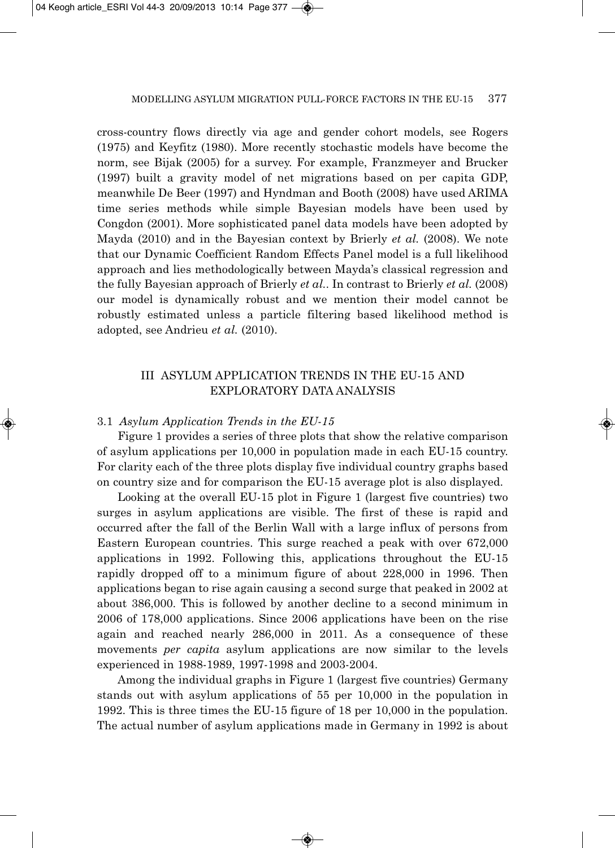cross-country flows directly via age and gender cohort models, see Rogers (1975) and Keyfitz (1980). More recently stochastic models have become the norm, see Bijak (2005) for a survey. For example, Franzmeyer and Brucker (1997) built a gravity model of net migrations based on per capita GDP, meanwhile De Beer (1997) and Hyndman and Booth (2008) have used ARIMA time series methods while simple Bayesian models have been used by Congdon (2001). More sophisticated panel data models have been adopted by Mayda (2010) and in the Bayesian context by Brierly *et al.* (2008). We note that our Dynamic Coefficient Random Effects Panel model is a full likelihood approach and lies methodologically between Mayda's classical regression and the fully Bayesian approach of Brierly *et al.*. In contrast to Brierly *et al.* (2008) our model is dynamically robust and we mention their model cannot be robustly estimated unless a particle filtering based likelihood method is adopted, see Andrieu *et al.* (2010).

### III ASYLUM APPLICATION TRENDS IN THE EU-15 AND EXPLORATORY DATA ANALYSIS

### 3.1 *Asylum Application Trends in the EU-15*

Figure 1 provides a series of three plots that show the relative comparison of asylum applications per 10,000 in population made in each EU-15 country. For clarity each of the three plots display five individual country graphs based on country size and for comparison the EU-15 average plot is also displayed.

Looking at the overall EU-15 plot in Figure 1 (largest five countries) two surges in asylum applications are visible. The first of these is rapid and occurred after the fall of the Berlin Wall with a large influx of persons from Eastern European countries. This surge reached a peak with over 672,000 applications in 1992. Following this, applications throughout the EU-15 rapidly dropped off to a minimum figure of about 228,000 in 1996. Then applications began to rise again causing a second surge that peaked in 2002 at about 386,000. This is followed by another decline to a second minimum in 2006 of 178,000 applications. Since 2006 applications have been on the rise again and reached nearly 286,000 in 2011. As a consequence of these movements *per capita* asylum applications are now similar to the levels experienced in 1988-1989, 1997-1998 and 2003-2004.

Among the individual graphs in Figure 1 (largest five countries) Germany stands out with asylum applications of 55 per 10,000 in the population in 1992. This is three times the EU-15 figure of 18 per 10,000 in the population. The actual number of asylum applications made in Germany in 1992 is about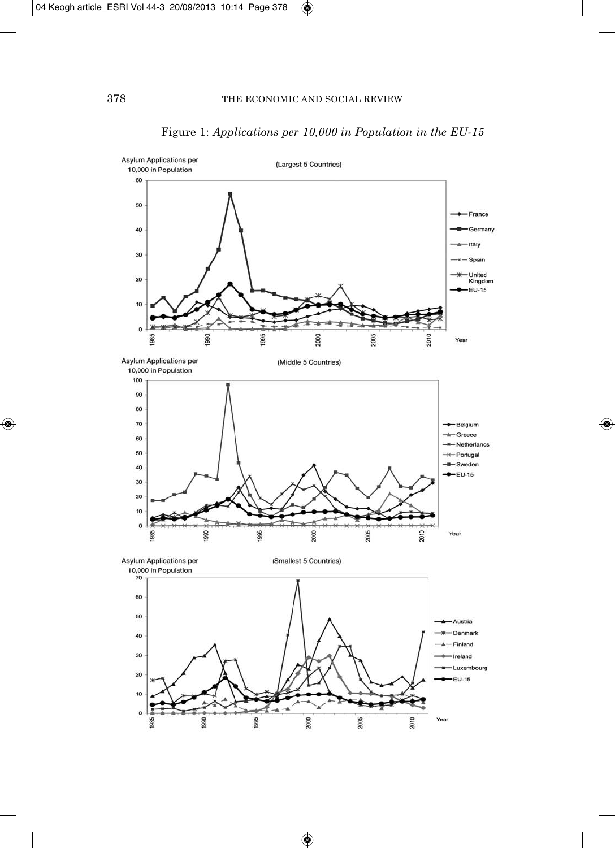

## Figure 1: *Applications per 10,000 in Population in the EU-15*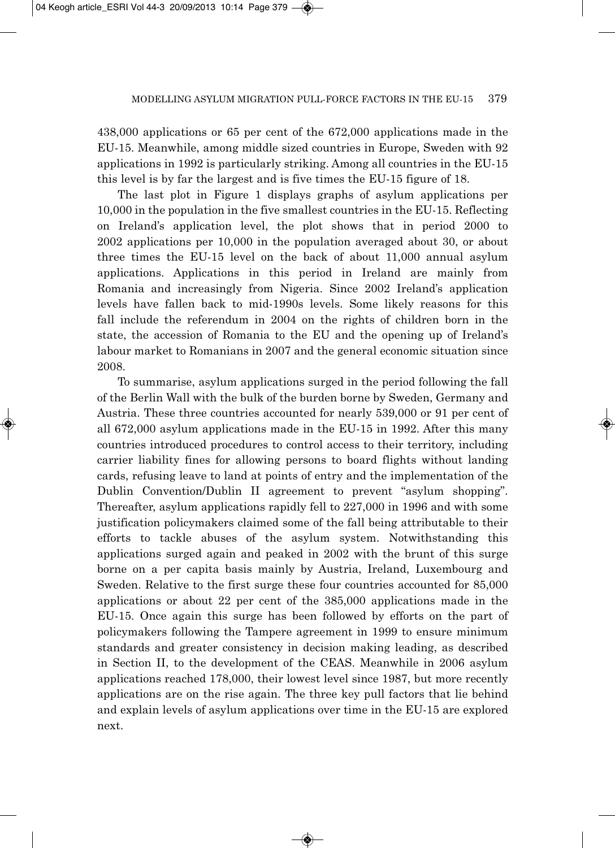438,000 applications or 65 per cent of the 672,000 applications made in the EU-15. Meanwhile, among middle sized countries in Europe, Sweden with 92 applications in 1992 is particularly striking. Among all countries in the EU-15 this level is by far the largest and is five times the EU-15 figure of 18.

The last plot in Figure 1 displays graphs of asylum applications per 10,000 in the population in the five smallest countries in the EU-15. Reflecting on Ireland's application level, the plot shows that in period 2000 to 2002 applications per 10,000 in the population averaged about 30, or about three times the EU-15 level on the back of about 11,000 annual asylum applications. Applications in this period in Ireland are mainly from Romania and increasingly from Nigeria. Since 2002 Ireland's application levels have fallen back to mid-1990s levels. Some likely reasons for this fall include the referendum in 2004 on the rights of children born in the state, the accession of Romania to the EU and the opening up of Ireland's labour market to Romanians in 2007 and the general economic situation since 2008.

To summarise, asylum applications surged in the period following the fall of the Berlin Wall with the bulk of the burden borne by Sweden, Germany and Austria. These three countries accounted for nearly 539,000 or 91 per cent of all 672,000 asylum applications made in the EU-15 in 1992. After this many countries introduced procedures to control access to their territory, including carrier liability fines for allowing persons to board flights without landing cards, refusing leave to land at points of entry and the implementation of the Dublin Convention/Dublin II agreement to prevent "asylum shopping". Thereafter, asylum applications rapidly fell to 227,000 in 1996 and with some justification policymakers claimed some of the fall being attributable to their efforts to tackle abuses of the asylum system. Notwithstanding this applications surged again and peaked in 2002 with the brunt of this surge borne on a per capita basis mainly by Austria, Ireland, Luxembourg and Sweden. Relative to the first surge these four countries accounted for 85,000 applications or about 22 per cent of the 385,000 applications made in the EU-15. Once again this surge has been followed by efforts on the part of policymakers following the Tampere agreement in 1999 to ensure minimum standards and greater consistency in decision making leading, as described in Section II, to the development of the CEAS. Meanwhile in 2006 asylum applications reached 178,000, their lowest level since 1987, but more recently applications are on the rise again. The three key pull factors that lie behind and explain levels of asylum applications over time in the EU-15 are explored next.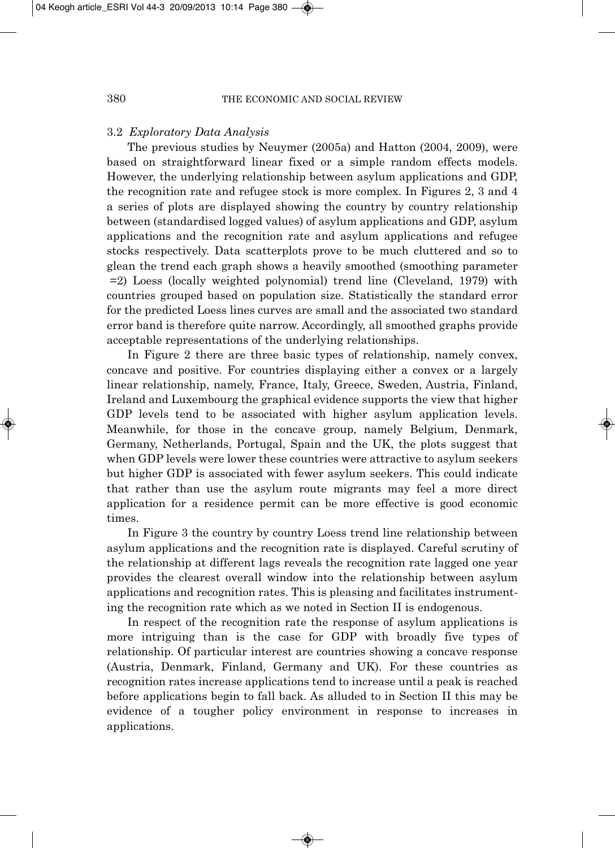### 3.2 *Exploratory Data Analysis*

The previous studies by Neuymer (2005a) and Hatton (2004, 2009), were based on straightforward linear fixed or a simple random effects models. However, the underlying relationship between asylum applications and GDP, the recognition rate and refugee stock is more complex. In Figures 2, 3 and 4 a series of plots are displayed showing the country by country relationship between (standardised logged values) of asylum applications and GDP, asylum applications and the recognition rate and asylum applications and refugee stocks respectively. Data scatterplots prove to be much cluttered and so to glean the trend each graph shows a heavily smoothed (smoothing parameter =2) Loess (locally weighted polynomial) trend line (Cleveland, 1979) with countries grouped based on population size. Statistically the standard error for the predicted Loess lines curves are small and the associated two standard error band is therefore quite narrow. Accordingly, all smoothed graphs provide acceptable representations of the underlying relationships.

In Figure 2 there are three basic types of relationship, namely convex, concave and positive. For countries displaying either a convex or a largely linear relationship, namely, France, Italy, Greece, Sweden, Austria, Finland, Ireland and Luxembourg the graphical evidence supports the view that higher GDP levels tend to be associated with higher asylum application levels. Meanwhile, for those in the concave group, namely Belgium, Denmark, Germany, Netherlands, Portugal, Spain and the UK, the plots suggest that when GDP levels were lower these countries were attractive to asylum seekers but higher GDP is associated with fewer asylum seekers. This could indicate that rather than use the asylum route migrants may feel a more direct application for a residence permit can be more effective is good economic times.

In Figure 3 the country by country Loess trend line relationship between asylum applications and the recognition rate is displayed. Careful scrutiny of the relationship at different lags reveals the recognition rate lagged one year provides the clearest overall window into the relationship between asylum applications and recognition rates. This is pleasing and facilitates instrument ing the recognition rate which as we noted in Section II is endogenous.

In respect of the recognition rate the response of asylum applications is more intriguing than is the case for GDP with broadly five types of relationship. Of particular interest are countries showing a concave response (Austria, Denmark, Finland, Germany and UK). For these countries as recognition rates increase applications tend to increase until a peak is reached before applications begin to fall back. As alluded to in Section II this may be evidence of a tougher policy environment in response to increases in applications.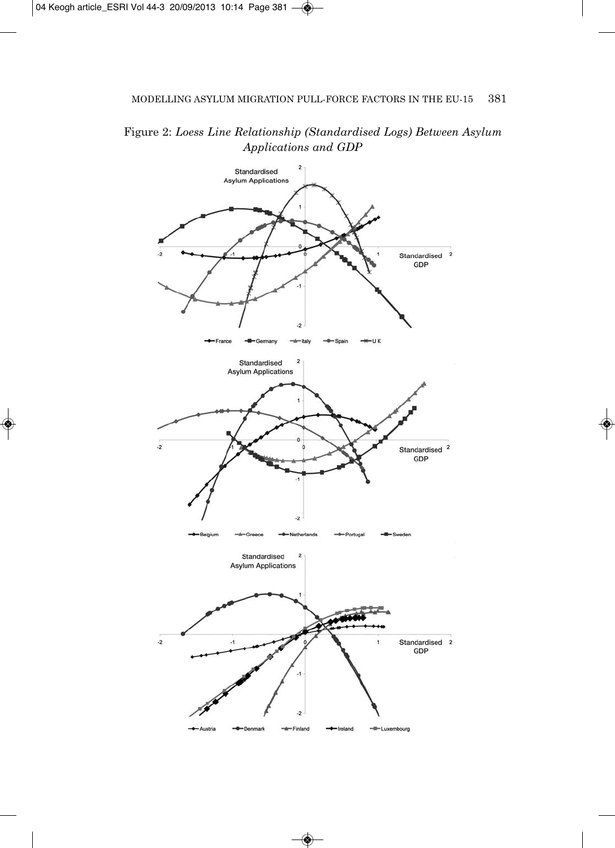Figure 2: *Loess Line Relationship (Standardised Logs) Between Asylum Applications and GDP*

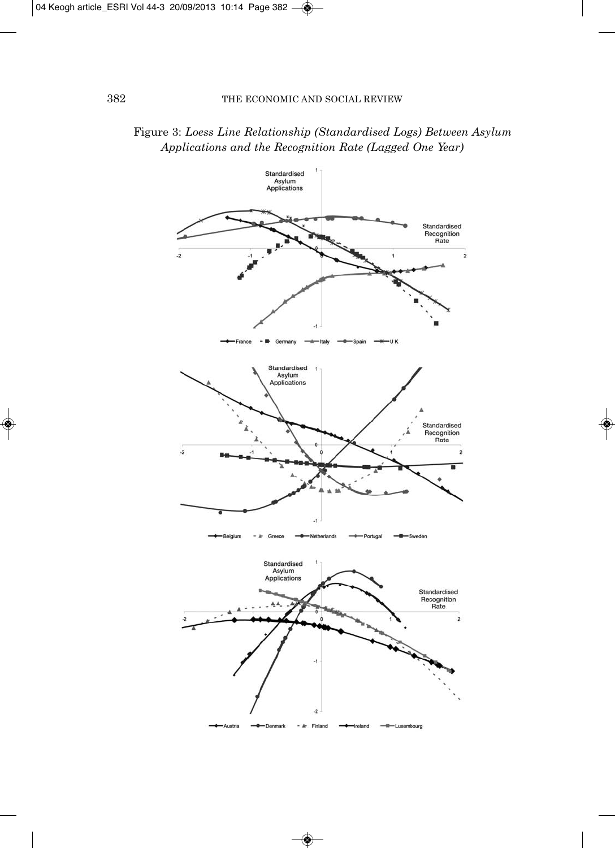

### Figure 3: *Loess Line Relationship (Standardised Logs) Between Asylum Applications and the Recognition Rate (Lagged One Year)*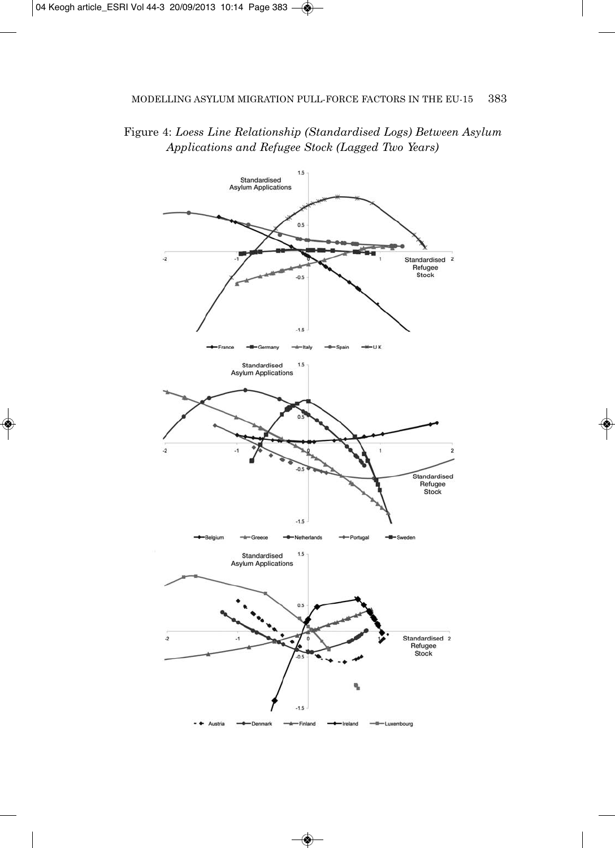### Figure 4: *Loess Line Relationship (Standardised Logs) Between Asylum Applications and Refugee Stock (Lagged Two Years)*

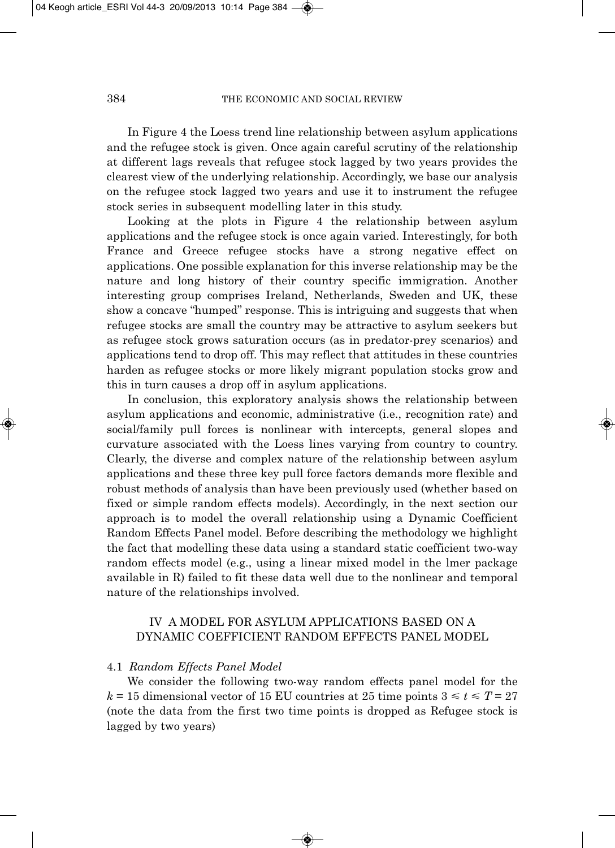In Figure 4 the Loess trend line relationship between asylum applications and the refugee stock is given. Once again careful scrutiny of the relationship at different lags reveals that refugee stock lagged by two years provides the clearest view of the underlying relationship. Accordingly, we base our analysis on the refugee stock lagged two years and use it to instrument the refugee stock series in subsequent modelling later in this study.

Looking at the plots in Figure 4 the relationship between asylum applications and the refugee stock is once again varied. Interestingly, for both France and Greece refugee stocks have a strong negative effect on applications. One possible explanation for this inverse relationship may be the nature and long history of their country specific immigration. Another interesting group comprises Ireland, Netherlands, Sweden and UK, these show a concave "humped" response. This is intriguing and suggests that when refugee stocks are small the country may be attractive to asylum seekers but as refugee stock grows saturation occurs (as in predator-prey scenarios) and applications tend to drop off. This may reflect that attitudes in these countries harden as refugee stocks or more likely migrant population stocks grow and this in turn causes a drop off in asylum applications.

In conclusion, this exploratory analysis shows the relationship between asylum applications and economic, administrative (i.e., recognition rate) and social/family pull forces is nonlinear with intercepts, general slopes and curvature associated with the Loess lines varying from country to country. Clearly, the diverse and complex nature of the relationship between asylum applications and these three key pull force factors demands more flexible and robust methods of analysis than have been previously used (whether based on fixed or simple random effects models). Accordingly, in the next section our approach is to model the overall relationship using a Dynamic Coefficient Random Effects Panel model. Before describing the methodology we highlight the fact that modelling these data using a standard static coefficient two-way random effects model (e.g., using a linear mixed model in the lmer package available in R) failed to fit these data well due to the nonlinear and temporal nature of the relationships involved.

### IV A MODEL FOR ASYLUM APPLICATIONS BASED ON A DYNAMIC COEFFICIENT RANDOM EFFECTS PANEL MODEL

### 4.1 *Random Effects Panel Model*

We consider the following two-way random effects panel model for the  $k = 15$  dimensional vector of 15 EU countries at 25 time points  $3 \le t \le T = 27$ (note the data from the first two time points is dropped as Refugee stock is lagged by two years)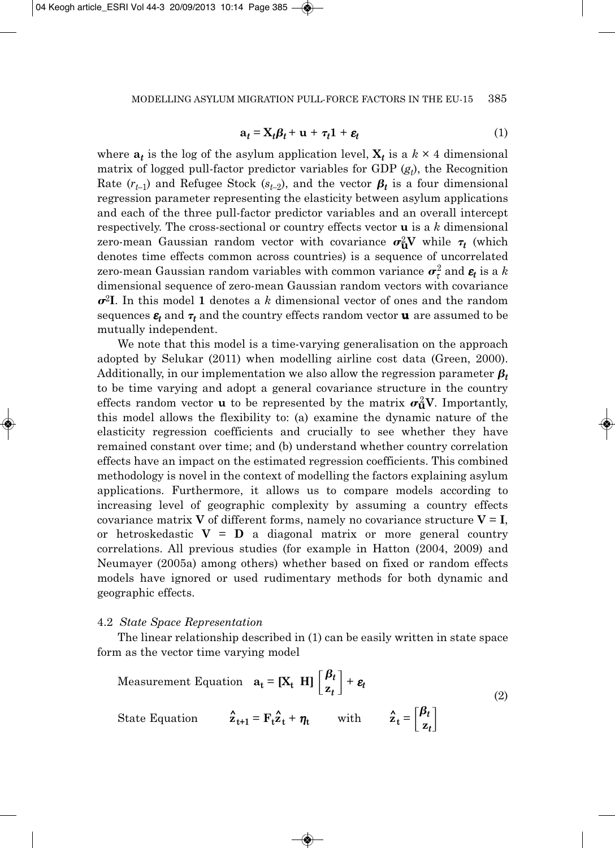$$
\mathbf{a}_t = \mathbf{X}_t \boldsymbol{\beta}_t + \mathbf{u} + \boldsymbol{\tau}_t \mathbf{1} + \boldsymbol{\varepsilon}_t \tag{1}
$$

where  $a_t$  is the log of the asylum application level,  $X_t$  is a  $k \times 4$  dimensional matrix of logged pull-factor predictor variables for GDP  $(g_t)$ , the Recognition Rate  $(r_{t-1})$  and Refugee Stock ( $s_{t-2}$ ), and the vector  $\boldsymbol{\beta_t}$  is a four dimensional regression parameter representing the elasticity between asylum applications and each of the three pull-factor predictor variables and an overall intercept respectively. The cross-sectional or country effects vector **u** is a *k* dimensional zero-mean Gaussian random vector with covariance  $\sigma^2_{\mathbf{u}} \mathbf{V}$  while  $\tau_t$  (which denotes time effects common across countries) is a sequence of uncorrelated zero-mean Gaussian random variables with common variance  $\boldsymbol{\sigma}^2_{\tau}$  and  $\boldsymbol{\varepsilon_t}$  is a  $k$ dimensional sequence of zero-mean Gaussian random vectors with covariance  $\sigma^2 I$ . In this model 1 denotes a *k* dimensional vector of ones and the random sequences  $\varepsilon_t$  and  $\tau_t$  and the country effects random vector **u** are assumed to be mutually independent.

We note that this model is a time-varying generalisation on the approach adopted by Selukar (2011) when modelling airline cost data (Green, 2000). Additionally, in our implementation we also allow the regression parameter  $\pmb{\beta}_t$ to be time varying and adopt a general covariance structure in the country effects random vector **u** to be represented by the matrix  $\sigma_u^2 V$ . Importantly, this model allows the flexibility to: (a) examine the dynamic nature of the elasticity regression coefficients and crucially to see whether they have remained constant over time; and (b) understand whether country correlation effects have an impact on the estimated regression coefficients. This combined methodology is novel in the context of modelling the factors explaining asylum applications. Furthermore, it allows us to compare models according to increasing level of geographic complexity by assuming a country effects covariance matrix **V** of different forms, namely no covariance structure  $V = I$ , or hetroskedastic  $V = D$  a diagonal matrix or more general country correlations. All previous studies (for example in Hatton (2004, 2009) and Neumayer (2005a) among others) whether based on fixed or random effects models have ignored or used rudimentary methods for both dynamic and geographic effects.

### 4.2 *State Space Representation*

The linear relationship described in (1) can be easily written in state space form as the vector time varying model

Measurement Equation 
$$
\mathbf{a}_t = [\mathbf{X}_t \ \mathbf{H}] \begin{bmatrix} \beta_t \\ \mathbf{z}_t \end{bmatrix} + \mathbf{\varepsilon}_t
$$

\nState Equation  $\hat{\mathbf{z}}_{t+1} = \mathbf{F}_t \hat{\mathbf{z}}_t + \eta_t$  with  $\hat{\mathbf{z}}_t = \begin{bmatrix} \beta_t \\ \mathbf{z}_t \end{bmatrix}$ 

\n(2)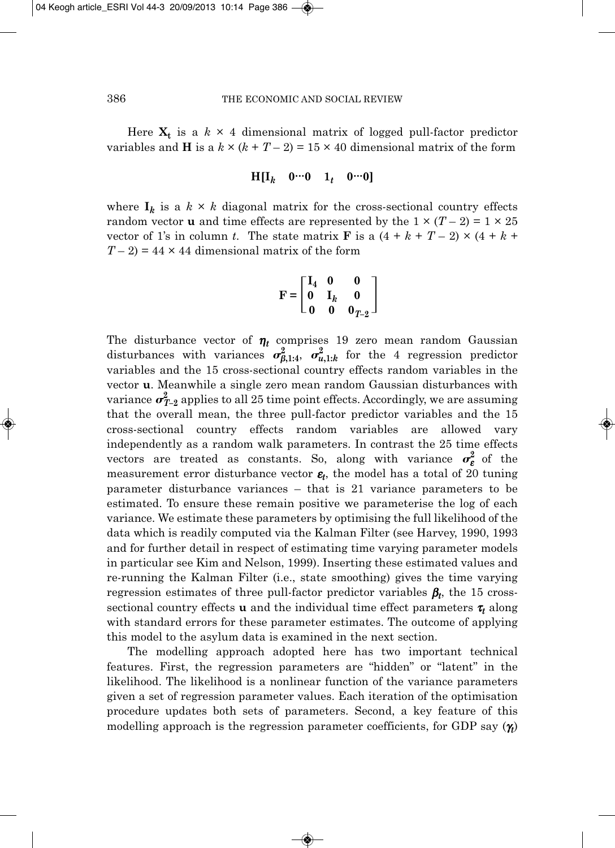Here  $X_t$  is a  $k \times 4$  dimensional matrix of logged pull-factor predictor variables and **H** is a  $k \times (k + T - 2) = 15 \times 40$  dimensional matrix of the form

$$
H[I_k \quad 0 \cdots 0 \quad 1_t \quad 0 \cdots 0]
$$

where  $I_k$  is a  $k \times k$  diagonal matrix for the cross-sectional country effects random vector **u** and time effects are represented by the  $1 \times (T - 2) = 1 \times 25$ vector of 1's in column *t*. The state matrix **F** is a  $(4 + k + T - 2) \times (4 + k +$  $T-2$ ) = 44 × 44 dimensional matrix of the form

$$
\mathbf{F} = \begin{bmatrix} \mathbf{I}_4 & \mathbf{0} & \mathbf{0} \\ \mathbf{0} & \mathbf{I}_k & \mathbf{0} \\ \mathbf{0} & \mathbf{0} & \mathbf{0}_{T-2} \end{bmatrix}
$$

The disturbance vector of  $\eta_t$  comprises 19 zero mean random Gaussian disturbances with variances  $\sigma_{\beta,1:4}^2$ ,  $\sigma_{u,1:k}^2$  for the 4 regression predictor variables and the 15 cross-sectional country effects random variables in the vector **u**. Meanwhile a single zero mean random Gaussian disturbances with variance  $\pmb{\sigma}_{T\!-\!2}^2$  applies to all 25 time point effects. Accordingly, we are assuming that the overall mean, the three pull-factor predictor variables and the 15 cross-sectional country effects random variables are allowed vary independently as a random walk parameters. In contrast the 25 time effects vectors are treated as constants. So, along with variance  $\sigma_{\epsilon}^2$  of the measurement error disturbance vector  $\varepsilon_t$ , the model has a total of 20 tuning parameter disturbance variances – that is 21 variance parameters to be estimated. To ensure these remain positive we parameterise the log of each variance. We estimate these parameters by optimising the full likelihood of the data which is readily computed via the Kalman Filter (see Harvey, 1990, 1993 and for further detail in respect of estimating time varying parameter models in particular see Kim and Nelson, 1999). Inserting these estimated values and re-running the Kalman Filter (i.e., state smoothing) gives the time varying regression estimates of three pull-factor predictor variables β*t*, the 15 crosssectional country effects **u** and the individual time effect parameters <sup>τ</sup>*<sup>t</sup>* along with standard errors for these parameter estimates. The outcome of applying this model to the asylum data is examined in the next section.

The modelling approach adopted here has two important technical features. First, the regression parameters are "hidden" or "latent" in the likelihood. The likelihood is a nonlinear function of the variance parameters given a set of regression parameter values. Each iteration of the optimisation procedure updates both sets of parameters. Second, a key feature of this modelling approach is the regression parameter coefficients, for GDP say (γ*t*)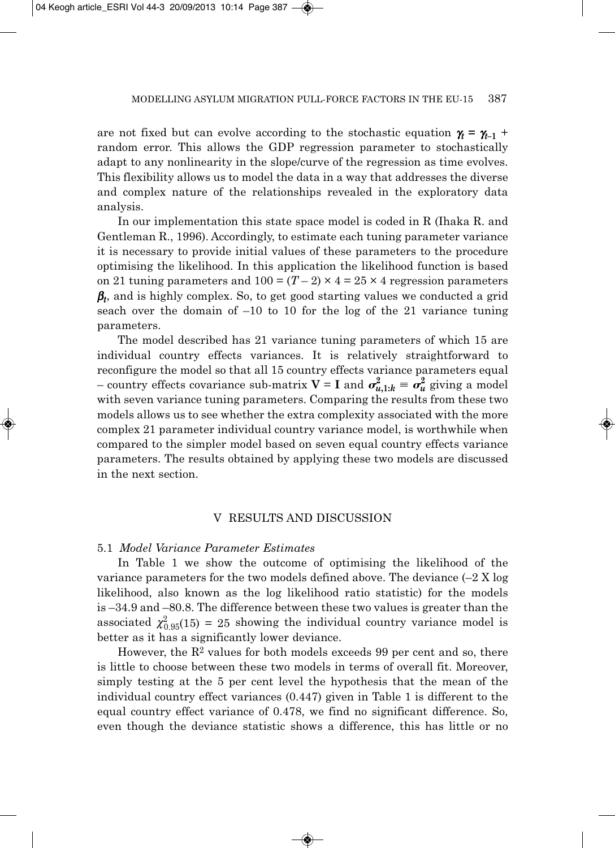are not fixed but can evolve according to the stochastic equation  $\gamma_t = \gamma_{t-1}$  + random error. This allows the GDP regression parameter to stochastically adapt to any nonlinearity in the slope/curve of the regression as time evolves. This flexibility allows us to model the data in a way that addresses the diverse and complex nature of the relationships revealed in the exploratory data analysis.

In our implementation this state space model is coded in R (Ihaka R. and Gentleman R., 1996). Accordingly, to estimate each tuning parameter variance it is necessary to provide initial values of these parameters to the procedure optimising the likelihood. In this application the likelihood function is based on 21 tuning parameters and  $100 = (T - 2) \times 4 = 25 \times 4$  regression parameters β*t*, and is highly complex. So, to get good starting values we conducted a grid seach over the domain of –10 to 10 for the log of the 21 variance tuning parameters.

The model described has 21 variance tuning parameters of which 15 are individual country effects variances. It is relatively straightforward to reconfigure the model so that all 15 country effects variance parameters equal – country effects covariance sub-matrix  $V = I$  and  $\sigma_{u,1:k}^2 \equiv \sigma_u^2$  giving a model with seven variance tuning parameters. Comparing the results from these two models allows us to see whether the extra complexity associated with the more complex 21 parameter individual country variance model, is worthwhile when compared to the simpler model based on seven equal country effects variance parameters. The results obtained by applying these two models are discussed in the next section.

### V RESULTS AND DISCUSSION

#### 5.1 *Model Variance Parameter Estimates*

In Table 1 we show the outcome of optimising the likelihood of the variance parameters for the two models defined above. The deviance  $(-2 X \log q)$ likelihood, also known as the log likelihood ratio statistic) for the models is –34.9 and –80.8. The difference between these two values is greater than the associated  $\chi_{0.95}^2(15) = 25$  showing the individual country variance model is better as it has a significantly lower deviance.

However, the  $R<sup>2</sup>$  values for both models exceeds 99 per cent and so, there is little to choose between these two models in terms of overall fit. Moreover, simply testing at the 5 per cent level the hypothesis that the mean of the individual country effect variances (0.447) given in Table 1 is different to the equal country effect variance of 0.478, we find no significant difference. So, even though the deviance statistic shows a difference, this has little or no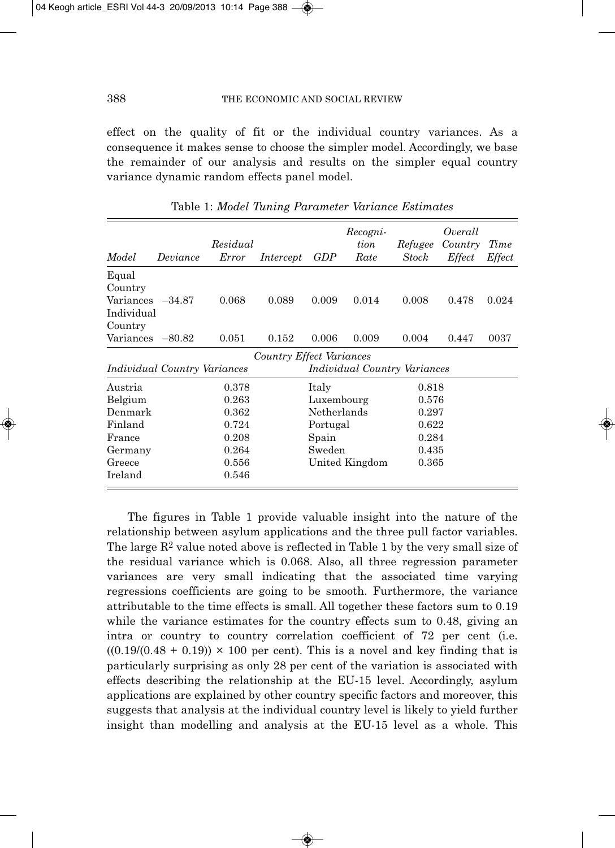effect on the quality of fit or the individual country variances. As a consequence it makes sense to choose the simpler model. Accordingly, we base the remainder of our analysis and results on the simpler equal country variance dynamic random effects panel model.

|                                     |          | Residual |                          |             | Recogni-<br>tion                    | Refugee | Overall<br>Country | Time          |
|-------------------------------------|----------|----------|--------------------------|-------------|-------------------------------------|---------|--------------------|---------------|
| Model                               | Deviance | Error    | Intercept                | GDP         | Rate                                | Stock   | <i>Effect</i>      | <i>Effect</i> |
| Equal<br>Country                    |          |          |                          |             |                                     |         |                    |               |
| Variances<br>Individual             | $-34.87$ | 0.068    | 0.089                    | 0.009       | 0.014                               | 0.008   | 0.478              | 0.024         |
| Country                             |          |          |                          |             |                                     |         |                    |               |
| Variances                           | $-80.82$ | 0.051    | 0.152                    | 0.006       | 0.009                               | 0.004   | 0.447              | 0037          |
|                                     |          |          | Country Effect Variances |             |                                     |         |                    |               |
| <i>Individual Country Variances</i> |          |          |                          |             | <i>Individual Country Variances</i> |         |                    |               |
| Austria                             |          | 0.378    |                          | Italy       |                                     | 0.818   |                    |               |
| Belgium                             |          | 0.263    |                          | Luxembourg  |                                     | 0.576   |                    |               |
| Denmark                             |          | 0.362    |                          | Netherlands |                                     | 0.297   |                    |               |
| Finland                             |          | 0.724    |                          | Portugal    |                                     | 0.622   |                    |               |
| France                              |          | 0.208    |                          | Spain       |                                     | 0.284   |                    |               |
| Germany                             |          | 0.264    |                          | Sweden      |                                     | 0.435   |                    |               |
| Greece                              |          | 0.556    |                          |             | United Kingdom                      | 0.365   |                    |               |
| Ireland                             |          | 0.546    |                          |             |                                     |         |                    |               |

Table 1: *Model Tuning Parameter Variance Estimates*

The figures in Table 1 provide valuable insight into the nature of the relationship between asylum applications and the three pull factor variables. The large  $R^2$  value noted above is reflected in Table 1 by the very small size of the residual variance which is 0.068. Also, all three regression parameter variances are very small indicating that the associated time varying regressions coefficients are going to be smooth. Furthermore, the variance attributable to the time effects is small. All together these factors sum to 0.19 while the variance estimates for the country effects sum to 0.48, giving an intra or country to country correlation coefficient of 72 per cent (i.e.  $((0.19)(0.48 + 0.19)) \times 100$  per cent). This is a novel and key finding that is particularly surprising as only 28 per cent of the variation is associated with effects describing the relationship at the EU-15 level. Accordingly, asylum applications are explained by other country specific factors and moreover, this suggests that analysis at the individual country level is likely to yield further insight than modelling and analysis at the EU-15 level as a whole. This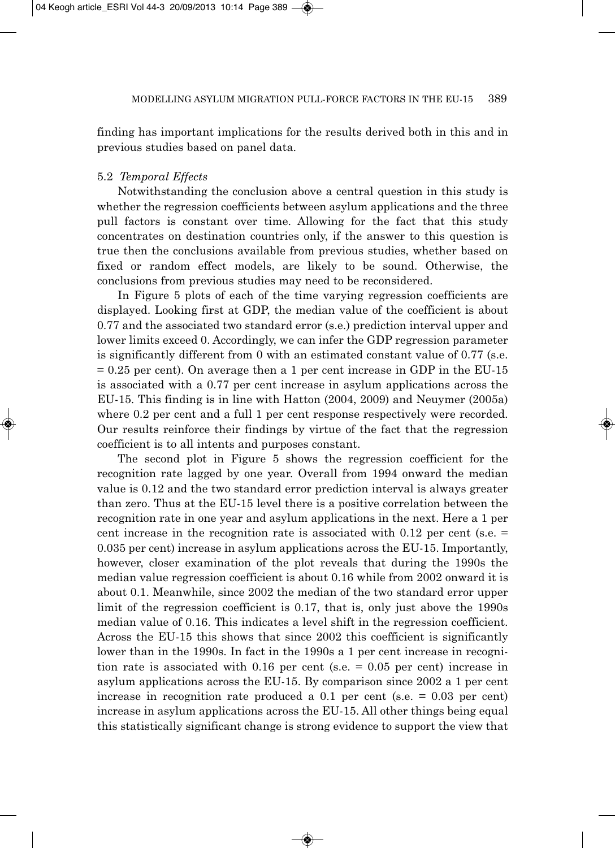finding has important implications for the results derived both in this and in previous studies based on panel data.

### 5.2 *Temporal Effects*

Notwithstanding the conclusion above a central question in this study is whether the regression coefficients between asylum applications and the three pull factors is constant over time. Allowing for the fact that this study concentrates on destination countries only, if the answer to this question is true then the conclusions available from previous studies, whether based on fixed or random effect models, are likely to be sound. Otherwise, the conclusions from previous studies may need to be reconsidered.

In Figure 5 plots of each of the time varying regression coefficients are displayed. Looking first at GDP, the median value of the coefficient is about 0.77 and the associated two standard error (s.e.) prediction interval upper and lower limits exceed 0. Accordingly, we can infer the GDP regression parameter is significantly different from 0 with an estimated constant value of 0.77 (s.e. = 0.25 per cent). On average then a 1 per cent increase in GDP in the EU-15 is associated with a 0.77 per cent increase in asylum applications across the EU-15. This finding is in line with Hatton (2004, 2009) and Neuymer (2005a) where 0.2 per cent and a full 1 per cent response respectively were recorded. Our results reinforce their findings by virtue of the fact that the regression coefficient is to all intents and purposes constant.

The second plot in Figure 5 shows the regression coefficient for the recognition rate lagged by one year. Overall from 1994 onward the median value is 0.12 and the two standard error prediction interval is always greater than zero. Thus at the EU-15 level there is a positive correlation between the recognition rate in one year and asylum applications in the next. Here a 1 per cent increase in the recognition rate is associated with 0.12 per cent (s.e.  $=$ 0.035 per cent) increase in asylum applications across the EU-15. Importantly, however, closer examination of the plot reveals that during the 1990s the median value regression coefficient is about 0.16 while from 2002 onward it is about 0.1. Meanwhile, since 2002 the median of the two standard error upper limit of the regression coefficient is 0.17, that is, only just above the 1990s median value of 0.16. This indicates a level shift in the regression coefficient. Across the EU-15 this shows that since 2002 this coefficient is significantly lower than in the 1990s. In fact in the 1990s a 1 per cent increase in recognition rate is associated with 0.16 per cent (s.e. = 0.05 per cent) increase in asylum applications across the EU-15. By comparison since 2002 a 1 per cent increase in recognition rate produced a  $0.1$  per cent (s.e.  $= 0.03$  per cent) increase in asylum applications across the EU-15. All other things being equal this statistically significant change is strong evidence to support the view that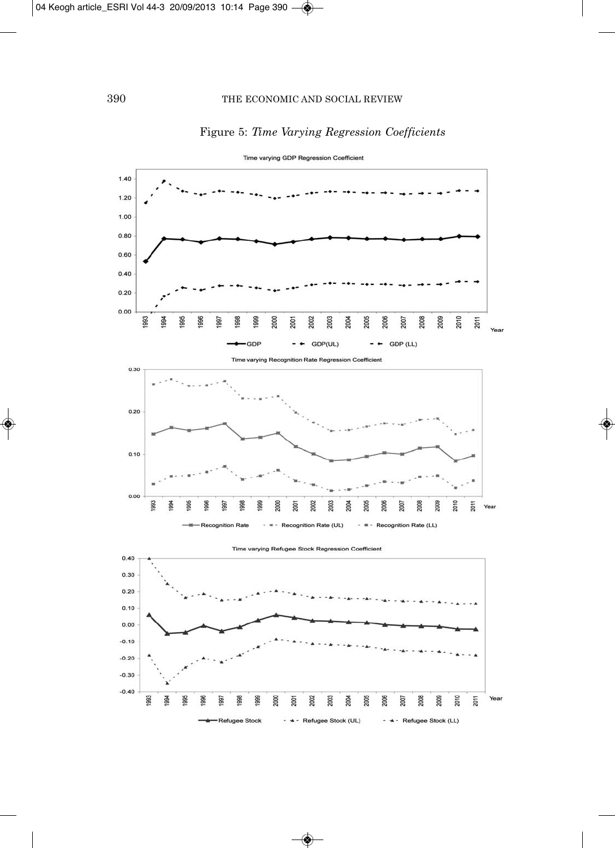



Time varying GDP Regression Coefficient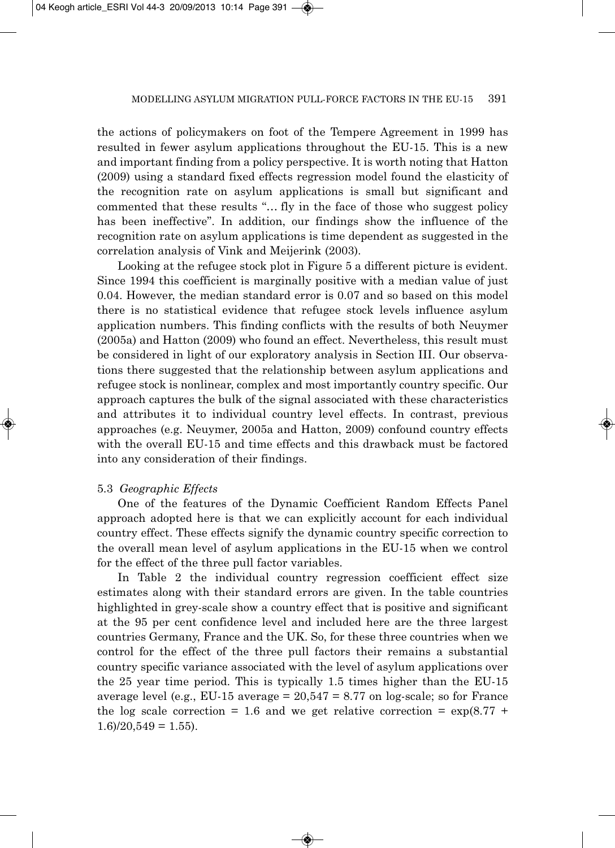the actions of policymakers on foot of the Tempere Agreement in 1999 has resulted in fewer asylum applications throughout the EU-15. This is a new and important finding from a policy perspective. It is worth noting that Hatton (2009) using a standard fixed effects regression model found the elasticity of the recognition rate on asylum applications is small but significant and commented that these results "… fly in the face of those who suggest policy has been ineffective". In addition, our findings show the influence of the recognition rate on asylum applications is time dependent as suggested in the correlation analysis of Vink and Meijerink (2003).

Looking at the refugee stock plot in Figure 5 a different picture is evident. Since 1994 this coefficient is marginally positive with a median value of just 0.04. However, the median standard error is 0.07 and so based on this model there is no statistical evidence that refugee stock levels influence asylum application numbers. This finding conflicts with the results of both Neuymer (2005a) and Hatton (2009) who found an effect. Nevertheless, this result must be considered in light of our exploratory analysis in Section III. Our observa tions there suggested that the relationship between asylum applications and refugee stock is nonlinear, complex and most importantly country specific. Our approach captures the bulk of the signal associated with these characteristics and attributes it to individual country level effects. In contrast, previous approaches (e.g. Neuymer, 2005a and Hatton, 2009) confound country effects with the overall EU-15 and time effects and this drawback must be factored into any consideration of their findings.

### 5.3 *Geographic Effects*

One of the features of the Dynamic Coefficient Random Effects Panel approach adopted here is that we can explicitly account for each individual country effect. These effects signify the dynamic country specific correction to the overall mean level of asylum applications in the EU-15 when we control for the effect of the three pull factor variables.

In Table 2 the individual country regression coefficient effect size estimates along with their standard errors are given. In the table countries highlighted in grey-scale show a country effect that is positive and significant at the 95 per cent confidence level and included here are the three largest countries Germany, France and the UK. So, for these three countries when we control for the effect of the three pull factors their remains a substantial country specific variance associated with the level of asylum applications over the 25 year time period. This is typically 1.5 times higher than the EU-15 average level (e.g., EU-15 average  $= 20,547 = 8.77$  on log-scale; so for France the log scale correction = 1.6 and we get relative correction =  $\exp(8.77 +$  $1.6$  $/20,549 = 1.55$ .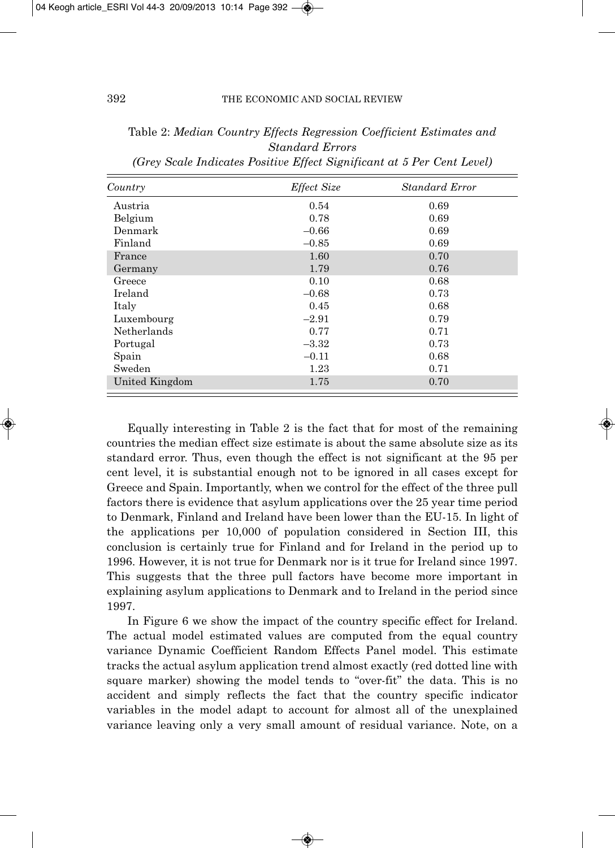| Country        | Effect Size | Standard Error |
|----------------|-------------|----------------|
| Austria        | 0.54        | 0.69           |
| Belgium        | 0.78        | 0.69           |
| Denmark        | $-0.66$     | 0.69           |
| Finland        | $-0.85$     | 0.69           |
| France         | 1.60        | 0.70           |
| Germany        | 1.79        | 0.76           |
| Greece         | 0.10        | 0.68           |
| Ireland        | $-0.68$     | 0.73           |
| Italy          | 0.45        | 0.68           |
| Luxembourg     | $-2.91$     | 0.79           |
| Netherlands    | 0.77        | 0.71           |
| Portugal       | $-3.32$     | 0.73           |
| Spain          | $-0.11$     | 0.68           |
| Sweden         | 1.23        | 0.71           |
| United Kingdom | 1.75        | 0.70           |

Table 2: *Median Country Effects Regression Coefficient Estimates and Standard Errors (Grey Scale Indicates Positive Effect Significant at 5 Per Cent Level)*

Equally interesting in Table 2 is the fact that for most of the remaining countries the median effect size estimate is about the same absolute size as its standard error. Thus, even though the effect is not significant at the 95 per cent level, it is substantial enough not to be ignored in all cases except for Greece and Spain. Importantly, when we control for the effect of the three pull factors there is evidence that asylum applications over the 25 year time period to Denmark, Finland and Ireland have been lower than the EU-15. In light of the applications per 10,000 of population considered in Section III, this conclusion is certainly true for Finland and for Ireland in the period up to 1996. However, it is not true for Denmark nor is it true for Ireland since 1997. This suggests that the three pull factors have become more important in explaining asylum applications to Denmark and to Ireland in the period since 1997.

In Figure 6 we show the impact of the country specific effect for Ireland. The actual model estimated values are computed from the equal country variance Dynamic Coefficient Random Effects Panel model. This estimate tracks the actual asylum application trend almost exactly (red dotted line with square marker) showing the model tends to "over-fit" the data. This is no accident and simply reflects the fact that the country specific indicator variables in the model adapt to account for almost all of the unexplained variance leaving only a very small amount of residual variance. Note, on a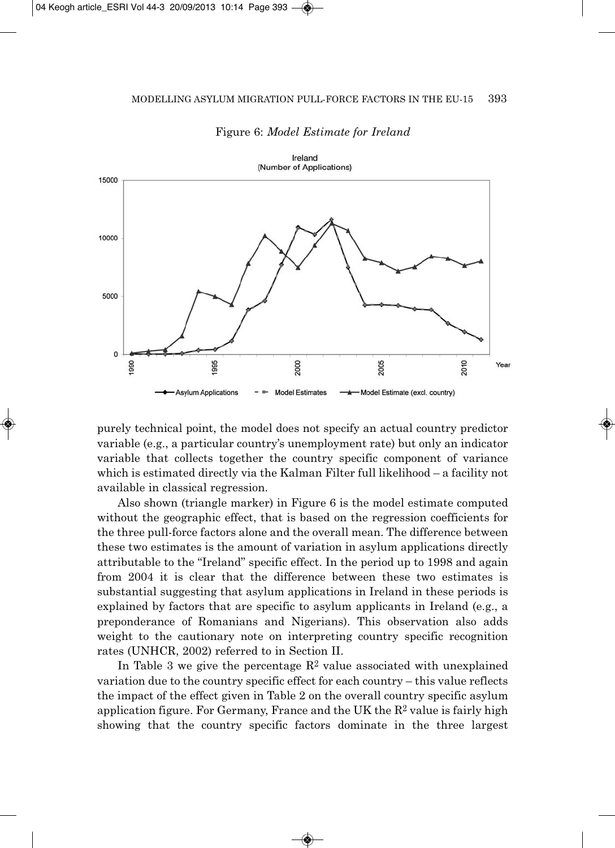

Figure 6: *Model Estimate for Ireland*

purely technical point, the model does not specify an actual country predictor variable (e.g., a particular country's unemployment rate) but only an indicator variable that collects together the country specific component of variance which is estimated directly via the Kalman Filter full likelihood – a facility not available in classical regression.

Also shown (triangle marker) in Figure 6 is the model estimate computed without the geographic effect, that is based on the regression coefficients for the three pull-force factors alone and the overall mean. The difference between these two estimates is the amount of variation in asylum applications directly attributable to the "Ireland" specific effect. In the period up to 1998 and again from 2004 it is clear that the difference between these two estimates is substantial suggesting that asylum applications in Ireland in these periods is explained by factors that are specific to asylum applicants in Ireland (e.g., a preponderance of Romanians and Nigerians). This observation also adds weight to the cautionary note on interpreting country specific recognition rates (UNHCR, 2002) referred to in Section II.

In Table 3 we give the percentage  $\mathbb{R}^2$  value associated with unexplained variation due to the country specific effect for each country – this value reflects the impact of the effect given in Table 2 on the overall country specific asylum application figure. For Germany, France and the UK the  $R^2$  value is fairly high showing that the country specific factors dominate in the three largest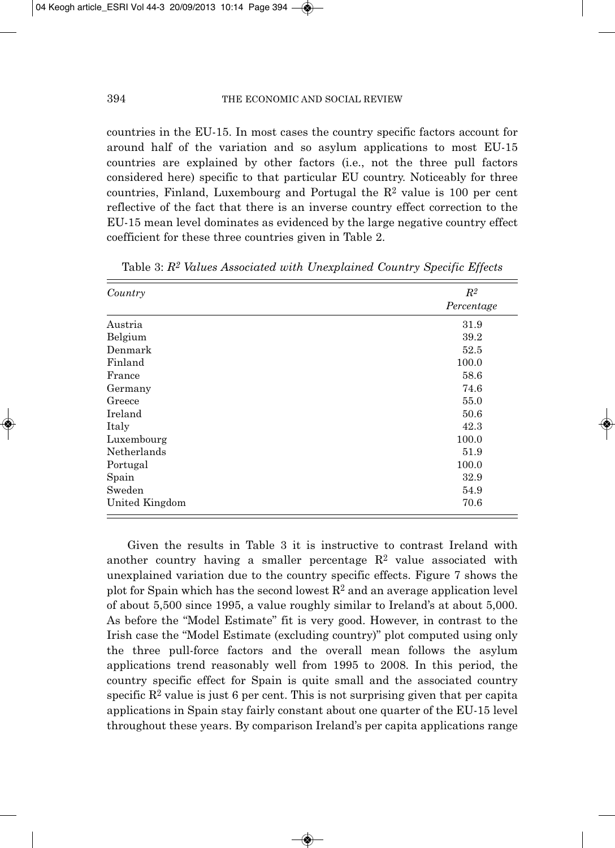countries in the EU-15. In most cases the country specific factors account for around half of the variation and so asylum applications to most EU-15 countries are explained by other factors (i.e., not the three pull factors considered here) specific to that particular EU country. Noticeably for three countries, Finland, Luxembourg and Portugal the  $R<sup>2</sup>$  value is 100 per cent reflective of the fact that there is an inverse country effect correction to the EU-15 mean level dominates as evidenced by the large negative country effect coefficient for these three countries given in Table 2.

| Country        | $R^2$      |
|----------------|------------|
|                | Percentage |
| Austria        | 31.9       |
| Belgium        | 39.2       |
| Denmark        | 52.5       |
| Finland        | 100.0      |
| France         | 58.6       |
| Germany        | 74.6       |
| Greece         | 55.0       |
| Ireland        | 50.6       |
| Italy          | 42.3       |
| Luxembourg     | 100.0      |
| Netherlands    | 51.9       |
| Portugal       | 100.0      |
| Spain          | 32.9       |
| Sweden         | 54.9       |
| United Kingdom | 70.6       |

Table 3: *R2 Values Associated with Unexplained Country Specific Effects*

Given the results in Table 3 it is instructive to contrast Ireland with another country having a smaller percentage  $R^2$  value associated with unexplained variation due to the country specific effects. Figure 7 shows the plot for Spain which has the second lowest  $R<sup>2</sup>$  and an average application level of about 5,500 since 1995, a value roughly similar to Ireland's at about 5,000. As before the "Model Estimate" fit is very good. However, in contrast to the Irish case the "Model Estimate (excluding country)" plot computed using only the three pull-force factors and the overall mean follows the asylum applications trend reasonably well from 1995 to 2008. In this period, the country specific effect for Spain is quite small and the associated country specific  $\mathbb{R}^2$  value is just 6 per cent. This is not surprising given that per capita applications in Spain stay fairly constant about one quarter of the EU-15 level throughout these years. By comparison Ireland's per capita applications range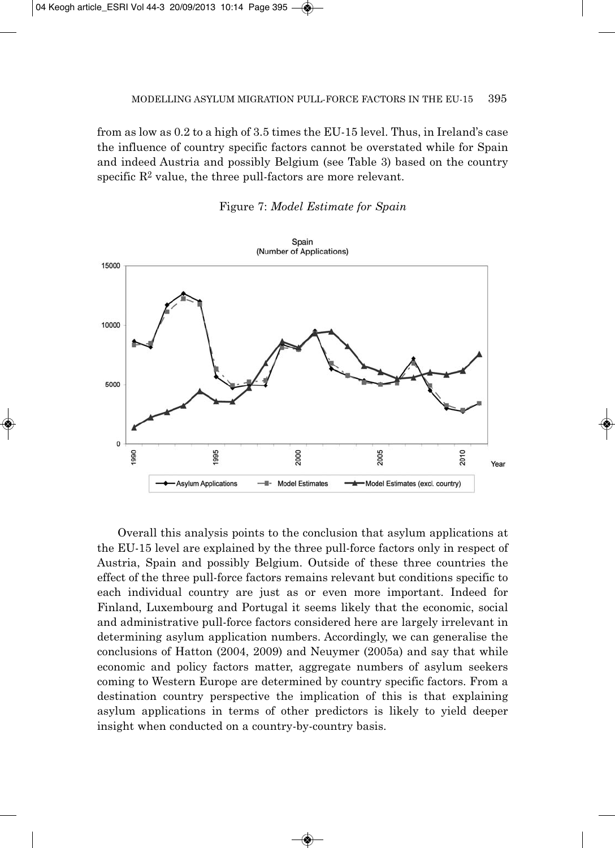from as low as 0.2 to a high of 3.5 times the EU-15 level. Thus, in Ireland's case the influence of country specific factors cannot be overstated while for Spain and indeed Austria and possibly Belgium (see Table 3) based on the country specific  $\mathbb{R}^2$  value, the three pull-factors are more relevant.



Figure 7: *Model Estimate for Spain*

Overall this analysis points to the conclusion that asylum applications at the EU-15 level are explained by the three pull-force factors only in respect of Austria, Spain and possibly Belgium. Outside of these three countries the effect of the three pull-force factors remains relevant but conditions specific to each individual country are just as or even more important. Indeed for Finland, Luxembourg and Portugal it seems likely that the economic, social and administrative pull-force factors considered here are largely irrelevant in determining asylum application numbers. Accordingly, we can generalise the conclusions of Hatton (2004, 2009) and Neuymer (2005a) and say that while economic and policy factors matter, aggregate numbers of asylum seekers coming to Western Europe are determined by country specific factors. From a destination country perspective the implication of this is that explaining asylum applications in terms of other predictors is likely to yield deeper insight when conducted on a country-by-country basis.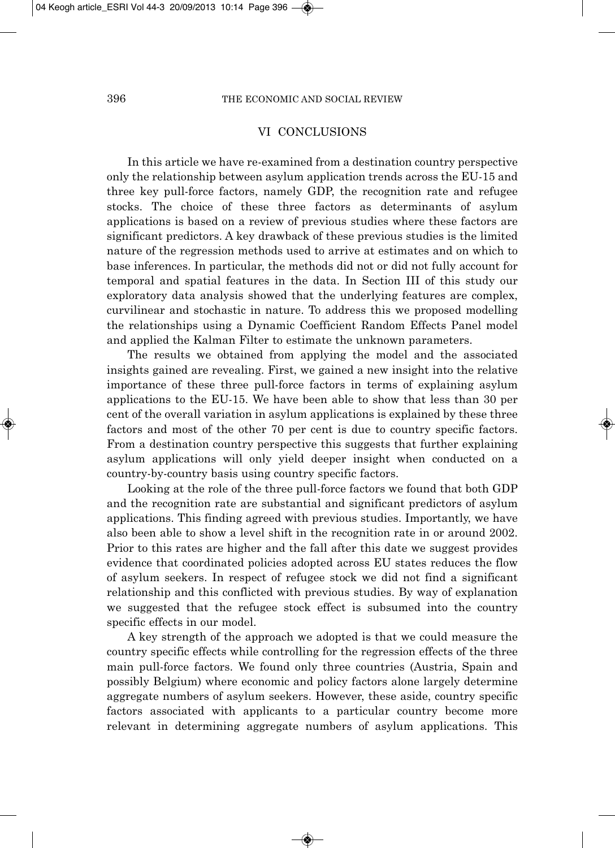### VI CONCLUSIONS

In this article we have re-examined from a destination country perspective only the relationship between asylum application trends across the EU-15 and three key pull-force factors, namely GDP, the recognition rate and refugee stocks. The choice of these three factors as determinants of asylum applications is based on a review of previous studies where these factors are significant predictors. A key drawback of these previous studies is the limited nature of the regression methods used to arrive at estimates and on which to base inferences. In particular, the methods did not or did not fully account for temporal and spatial features in the data. In Section III of this study our exploratory data analysis showed that the underlying features are complex, curvilinear and stochastic in nature. To address this we proposed modelling the relationships using a Dynamic Coefficient Random Effects Panel model and applied the Kalman Filter to estimate the unknown parameters.

The results we obtained from applying the model and the associated insights gained are revealing. First, we gained a new insight into the relative importance of these three pull-force factors in terms of explaining asylum applications to the EU-15. We have been able to show that less than 30 per cent of the overall variation in asylum applications is explained by these three factors and most of the other 70 per cent is due to country specific factors. From a destination country perspective this suggests that further explaining asylum applications will only yield deeper insight when conducted on a country-by-country basis using country specific factors.

Looking at the role of the three pull-force factors we found that both GDP and the recognition rate are substantial and significant predictors of asylum applications. This finding agreed with previous studies. Importantly, we have also been able to show a level shift in the recognition rate in or around 2002. Prior to this rates are higher and the fall after this date we suggest provides evidence that coordinated policies adopted across EU states reduces the flow of asylum seekers. In respect of refugee stock we did not find a significant relationship and this conflicted with previous studies. By way of explanation we suggested that the refugee stock effect is subsumed into the country specific effects in our model.

A key strength of the approach we adopted is that we could measure the country specific effects while controlling for the regression effects of the three main pull-force factors. We found only three countries (Austria, Spain and possibly Belgium) where economic and policy factors alone largely determine aggregate numbers of asylum seekers. However, these aside, country specific factors associated with applicants to a particular country become more relevant in determining aggregate numbers of asylum applications. This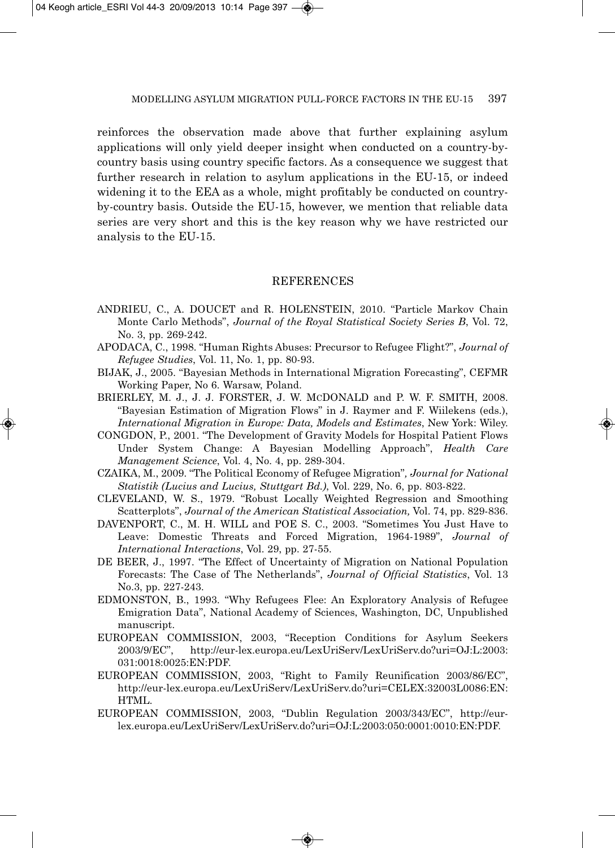reinforces the observation made above that further explaining asylum applications will only yield deeper insight when conducted on a country-bycountry basis using country specific factors. As a consequence we suggest that further research in relation to asylum applications in the EU-15, or indeed widening it to the EEA as a whole, might profitably be conducted on countryby-country basis. Outside the EU-15, however, we mention that reliable data series are very short and this is the key reason why we have restricted our analysis to the EU-15.

### **REFERENCES**

- ANDRIEU, C., A. DOUCET and R. HOLENSTEIN, 2010. "Particle Markov Chain Monte Carlo Methods", *Journal of the Royal Statistical Society Series B*, Vol. 72, No. 3, pp. 269-242.
- APODACA, C., 1998. "Human Rights Abuses: Precursor to Refugee Flight?", *Journal of Refugee Studies*, Vol. 11, No. 1, pp. 80-93.
- BIJAK, J., 2005. "Bayesian Methods in International Migration Forecasting", CEFMR Working Paper, No 6. Warsaw, Poland.
- BRIERLEY, M. J., J. J. FORSTER, J. W. MCDONALD and P. W. F. SMITH, 2008. "Bayesian Estimation of Migration Flows" in J. Raymer and F. Wiilekens (eds.), *International Migration in Europe: Data, Models and Estimates*, New York: Wiley.
- CONGDON, P., 2001. "The Development of Gravity Models for Hospital Patient Flows Under System Change: A Bayesian Modelling Approach", *Health Care Management Science*, Vol. 4, No. 4, pp. 289-304.
- CZAIKA, M., 2009. "The Political Economy of Refugee Migration"*, Journal for National Statistik (Lucius and Lucius, Stuttgart Bd.)*, Vol. 229, No. 6, pp. 803-822.
- CLEVELAND, W. S., 1979. "Robust Locally Weighted Regression and Smoothing Scatterplots", *Journal of the American Statistical Association,* Vol. 74, pp. 829-836.
- DAVENPORT, C., M. H. WILL and POE S. C., 2003. "Sometimes You Just Have to Leave: Domestic Threats and Forced Migration, 1964-1989", *Journal of International Interactions*, Vol. 29, pp. 27-55.
- DE BEER, J., 1997. "The Effect of Uncertainty of Migration on National Population Forecasts: The Case of The Netherlands", *Journal of Official Statistics*, Vol. 13 No.3, pp. 227-243.
- EDMONSTON, B., 1993. "Why Refugees Flee: An Exploratory Analysis of Refugee Emigration Data", National Academy of Sciences, Washington, DC, Unpublished manuscript.
- EUROPEAN COMMISSION, 2003, "Reception Conditions for Asylum Seekers 2003/9/EC", http://eur-lex.europa.eu/LexUriServ/LexUriServ.do?uri=OJ:L:2003: 031:0018:0025:EN:PDF.
- EUROPEAN COMMISSION, 2003, "Right to Family Reunification 2003/86/EC", http://eur-lex.europa.eu/LexUriServ/LexUriServ.do?uri=CELEX:32003L0086:EN: HTML.
- EUROPEAN COMMISSION, 2003, "Dublin Regulation 2003/343/EC", http://eurlex.europa.eu/LexUriServ/LexUriServ.do?uri=OJ:L:2003:050:0001:0010:EN:PDF.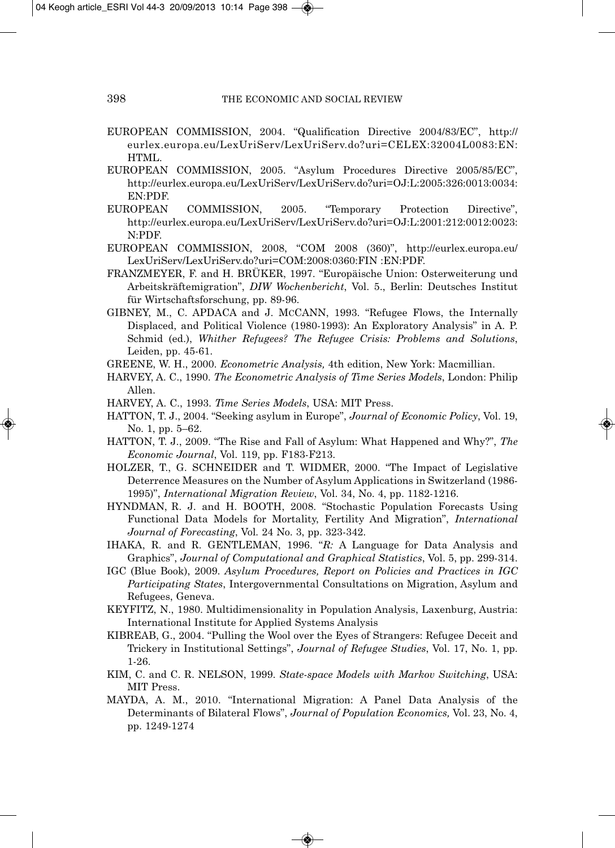- EUROPEAN COMMISSION, 2004. "Qualification Directive 2004/83/EC", http:// eurlex.europa.eu/LexUriServ/LexUriServ.do?uri=CELEX:32004L0083:EN: HTML.
- EUROPEAN COMMISSION, 2005. "Asylum Procedures Directive 2005/85/EC", http://eurlex.europa.eu/LexUriServ/LexUriServ.do?uri=OJ:L:2005:326:0013:0034: EN:PDF.
- EUROPEAN COMMISSION, 2005. "Temporary Protection Directive", http://eurlex.europa.eu/LexUriServ/LexUriServ.do?uri=OJ:L:2001:212:0012:0023: N:PDF.
- EUROPEAN COMMISSION, 2008, "COM 2008 (360)", http://eurlex.europa.eu/ LexUriServ/LexUriServ.do?uri=COM:2008:0360:FIN :EN:PDF.
- FRANZMEYER, F. and H. BRÜKER, 1997. "Europäische Union: Osterweiterung und Arbeitskräftemigration", *DIW Wochenbericht*, Vol. 5., Berlin: Deutsches Institut für Wirtschaftsforschung, pp. 89-96.
- GIBNEY, M., C. APDACA and J. MCCANN, 1993. "Refugee Flows, the Internally Displaced, and Political Violence (1980-1993): An Exploratory Analysis" in A. P. Schmid (ed.), *Whither Refugees? The Refugee Crisis: Problems and Solutions*, Leiden, pp. 45-61.
- GREENE, W. H., 2000. *Econometric Analysis,* 4th edition, New York: Macmillian.
- HARVEY, A. C., 1990. *The Econometric Analysis of Time Series Models*, London: Philip Allen.
- HARVEY, A. C., 1993. *Time Series Models*, USA: MIT Press.
- HATTON, T. J., 2004. "Seeking asylum in Europe", *Journal of Economic Policy*, Vol. 19, No. 1, pp. 5–62.
- HATTON, T. J., 2009. "The Rise and Fall of Asylum: What Happened and Why?", *The Economic Journal*, Vol. 119, pp. F183-F213.
- HOLZER, T., G. SCHNEIDER and T. WIDMER, 2000. "The Impact of Legislative Deterrence Measures on the Number of Asylum Applications in Switzerland (1986- 1995)", *International Migration Review*, Vol. 34, No. 4, pp. 1182-1216.
- HYNDMAN, R. J. and H. BOOTH, 2008. "Stochastic Population Forecasts Using Functional Data Models for Mortality, Fertility And Migration", *International Journal of Fore cast ing*, Vol*.* 24 No. 3, pp. 323-342.
- IHAKA, R. and R. GENTLEMAN, 1996. "*R:* A Language for Data Analysis and Graphics", *Journal of Computational and Graphical Statistics*, Vol. 5, pp. 299-314.
- IGC (Blue Book), 2009. *Asylum Procedures, Report on Policies and Practices in IGC Participating States*, Intergovernmental Consultations on Migration, Asylum and Refugees, Geneva.
- KEYFITZ, N., 1980. Multidimensionality in Population Analysis, Laxenburg, Austria: International Institute for Applied Systems Analysis
- KIBREAB, G., 2004. "Pulling the Wool over the Eyes of Strangers: Refugee Deceit and Trickery in Institutional Settings", *Journal of Refugee Studies*, Vol. 17, No. 1, pp. 1-26.
- KIM, C. and C. R. NELSON, 1999. *State-space Models with Markov Switching*, USA: MIT Press.
- MAYDA, A. M., 2010. "International Migration: A Panel Data Analysis of the Determinants of Bilateral Flows", *Journal of Population Economics,* Vol. 23, No. 4, pp. 1249-1274